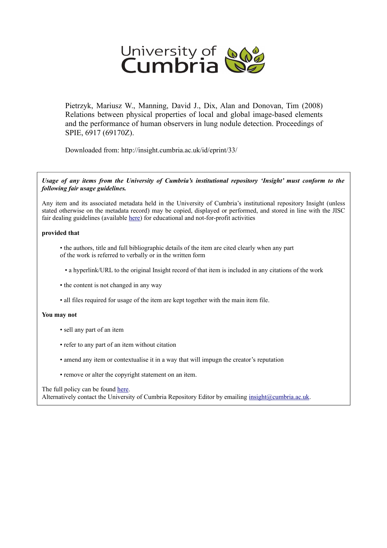

Pietrzyk, Mariusz W., Manning, David J., Dix, Alan and Donovan, Tim (2008) Relations between physical properties of local and global image-based elements and the performance of human observers in lung nodule detection. Proceedings of SPIE, 6917 (69170Z).

Downloaded from: http://insight.cumbria.ac.uk/id/eprint/33/

*Usage of any items from the University of Cumbria's institutional repository 'Insight' must conform to the following fair usage guidelines.*

Any item and its associated metadata held in the University of Cumbria's institutional repository Insight (unless stated otherwise on the metadata record) may be copied, displayed or performed, and stored in line with the JISC fair dealing guidelines (available [here\)](http://www.ukoln.ac.uk/services/elib/papers/pa/fair/) for educational and not-for-profit activities

## **provided that**

• the authors, title and full bibliographic details of the item are cited clearly when any part of the work is referred to verbally or in the written form

• a hyperlink/URL to the original Insight record of that item is included in any citations of the work

- the content is not changed in any way
- all files required for usage of the item are kept together with the main item file.

## **You may not**

- sell any part of an item
- refer to any part of an item without citation
- amend any item or contextualise it in a way that will impugn the creator's reputation
- remove or alter the copyright statement on an item.

## The full policy can be found [here.](http://insight.cumbria.ac.uk/legal.html#section5)

Alternatively contact the University of Cumbria Repository Editor by emailing [insight@cumbria.ac.uk.](mailto:insight@cumbria.ac.uk)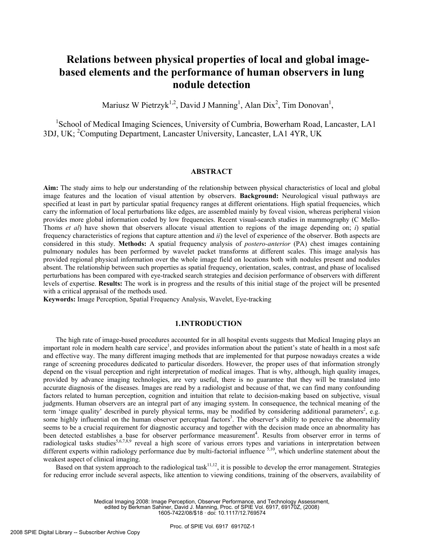# **Relations between physical properties of local and global imagebased elements and the performance of human observers in lung nodule detection**

Mariusz W Pietrzyk<sup>1,2</sup>, David J Manning<sup>1</sup>, Alan Dix<sup>2</sup>, Tim Donovan<sup>1</sup>,

<sup>1</sup>School of Medical Imaging Sciences, University of Cumbria, Bowerham Road, Lancaster, LA1 3DJ, UK; <sup>2</sup> Computing Department, Lancaster University, Lancaster, LA1 4YR, UK

#### **ABSTRACT**

**Aim:** The study aims to help our understanding of the relationship between physical characteristics of local and global image features and the location of visual attention by observers. **Background:** Neurological visual pathways are specified at least in part by particular spatial frequency ranges at different orientations. High spatial frequencies, which carry the information of local perturbations like edges, are assembled mainly by foveal vision, whereas peripheral vision provides more global information coded by low frequencies. Recent visual-search studies in mammography (C Mello-Thoms *et al*) have shown that observers allocate visual attention to regions of the image depending on; *i*) spatial frequency characteristics of regions that capture attention and *ii*) the level of experience of the observer. Both aspects are considered in this study. **Methods:** A spatial frequency analysis of *postero-anterior* (PA) chest images containing pulmonary nodules has been performed by wavelet packet transforms at different scales. This image analysis has provided regional physical information over the whole image field on locations both with nodules present and nodules absent. The relationship between such properties as spatial frequency, orientation, scales, contrast, and phase of localised perturbations has been compared with eye-tracked search strategies and decision performance of observers with different levels of expertise. **Results:** The work is in progress and the results of this initial stage of the project will be presented with a critical appraisal of the methods used.

**Keywords:** Image Perception, Spatial Frequency Analysis, Wavelet, Eye-tracking

# **1.INTRODUCTION**

The high rate of image-based procedures accounted for in all hospital events suggests that Medical Imaging plays an important role in modern health care service<sup>1</sup>, and provides information about the patient's state of health in a most safe and effective way. The many different imaging methods that are implemented for that purpose nowadays creates a wide range of screening procedures dedicated to particular disorders. However, the proper uses of that information strongly depend on the visual perception and right interpretation of medical images. That is why, although, high quality images, provided by advance imaging technologies, are very useful, there is no guarantee that they will be translated into accurate diagnosis of the diseases. Images are read by a radiologist and because of that, we can find many confounding factors related to human perception, cognition and intuition that relate to decision-making based on subjective, visual judgments. Human observers are an integral part of any imaging system. In consequence, the technical meaning of the term 'image quality' described in purely physical terms, may be modified by considering additional parameters<sup>2</sup>, e.g. some highly influential on the human observer perceptual factors<sup>3</sup>. The observer's ability to perceive the abnormality seems to be a crucial requirement for diagnostic accuracy and together with the decision made once an abnormality has been detected establishes a base for observer performance measurement<sup>4</sup>. Results from observer error in terms of radiological tasks studies<sup>5,6,7,8,9</sup> reveal a high score of various errors types and variations in interpretation between different experts within radiology performance due by multi-factorial influence <sup>5,10</sup>, which underline statement about the weakest aspect of clinical imaging.

Based on that system approach to the radiological task<sup>11,12</sup>, it is possible to develop the error management. Strategies for reducing error include several aspects, like attention to viewing conditions, training of the observers, availability of

> Medical Imaging 2008: Image Perception, Observer Performance, and Technology Assessment, edited by Berkman Sahiner, David J. Manning, Proc. of SPIE Vol. 6917, 69170Z, (2008) 1605-7422/08/\$18 · doi: 10.1117/12.769574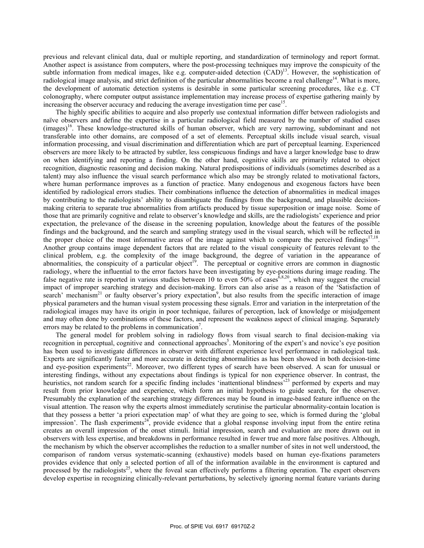previous and relevant clinical data, dual or multiple reporting, and standardization of terminology and report format. Another aspect is assistance from computers, where the post-processing techniques may improve the conspicuity of the subtle information from medical images, like e.g. computer-aided detection (CAD)<sup>13</sup>. However, the sophistication of radiological image analysis, and strict definition of the particular abnormalities become a real challenge $14$ . What is more, the development of automatic detection systems is desirable in some particular screening procedures, like e.g. CT colonography, where computer output assistance implementation may increase process of expertise gathering mainly by increasing the observer accuracy and reducing the average investigation time per case<sup>15</sup>.

The highly specific abilities to acquire and also properly use contextual information differ between radiologists and naïve observers and define the expertise in a particular radiological field measured by the number of studied cases (images)16. These knowledge-structured skills of human observer, which are very narrowing, subdominant and not transferable into other domains, are composed of a set of elements. Perceptual skills include visual search, visual information processing, and visual discrimination and differentiation which are part of perceptual learning. Experienced observers are more likely to be attracted by subtler, less conspicuous findings and have a larger knowledge base to draw on when identifying and reporting a finding. On the other hand, cognitive skills are primarily related to object recognition, diagnostic reasoning and decision making. Natural predispositions of individuals (sometimes described as a talent) may also influence the visual search performance which also may be strongly related to motivational factors, where human performance improves as a function of practice. Many endogenous and exogenous factors have been identified by radiological errors studies. Their combinations influence the detection of abnormalities in medical images by contributing to the radiologists' ability to disambiguate the findings from the background, and plausible decisionmaking criteria to separate true abnormalities from artifacts produced by tissue superposition or image noise. Some of those that are primarily cognitive and relate to observer's knowledge and skills, are the radiologists' experience and prior expectation, the prelevance of the disease in the screening population, knowledge about the features of the possible findings and the background, and the search and sampling strategy used in the visual search, which will be reflected in the proper choice of the most informative areas of the image against which to compare the perceived findings<sup>17,18</sup>. Another group contains image dependent factors that are related to the visual conspicuity of features relevant to the clinical problem, e.g. the complexity of the image background, the degree of variation in the appearance of abnormalities, the conspicuity of a particular object<sup>19</sup>. The perceptual or cognitive errors are common in diagnostic radiology, where the influential to the error factors have been investigating by eye-positions during image reading. The false negative rate is reported in various studies between 10 to even  $50\%$  of cases<sup>6,8,20</sup>, which may suggest the crucial impact of improper searching strategy and decision-making. Errors can also arise as a reason of the 'Satisfaction of search' mechanism<sup>21</sup> or faulty observer's priory expectation<sup>9</sup>, but also results from the specific interaction of image physical parameters and the human visual system processing these signals. Error and variation in the interpretation of the radiological images may have its origin in poor technique, failures of perception, lack of knowledge or misjudgement and may often done by combinations of these factors, and represent the weakness aspect of clinical imaging. Separately errors may be related to the problems in communication<sup>7</sup>.

The general model for problem solving in radiology flows from visual search to final decision-making via recognition in perceptual, cognitive and connectional approaches<sup>5</sup>. Monitoring of the expert's and novice's eye position has been used to investigate differences in observer with different experience level performance in radiological task. Experts are significantly faster and more accurate in detecting abnormalities as has been showed in both decision-time and eye-position experiments<sup>22</sup>. Moreover, two different types of search have been observed. A scan for unusual or interesting findings, without any expectations about findings is typical for non experience observer. In contrast, the heuristics, not random search for a specific finding includes 'inattentional blindness'<sup>23</sup> performed by experts and may result from prior knowledge and experience, which form an initial hypothesis to guide search, for the observer. Presumably the explanation of the searching strategy differences may be found in image-based feature influence on the visual attention. The reason why the experts almost immediately scrutinise the particular abnormality-contain location is that they possess a better 'a priori expectation map' of what they are going to see, which is formed during the 'global impression'. The flash experiments<sup>24</sup>, provide evidence that a global response involving input from the entire retina creates an overall impression of the onset stimuli. Initial impression, search and evaluation are more drawn out in observers with less expertise, and breakdowns in performance resulted in fewer true and more false positives. Although, the mechanism by which the observer accomplishes the reduction to a smaller number of sites in not well understood, the comparison of random versus systematic-scanning (exhaustive) models based on human eye-fixations parameters provides evidence that only a selected portion of all of the information available in the environment is captured and processed by the radiologists<sup>25</sup>, where the foveal scan effectively performs a filtering operation. The expert observers develop expertise in recognizing clinically-relevant perturbations, by selectively ignoring normal feature variants during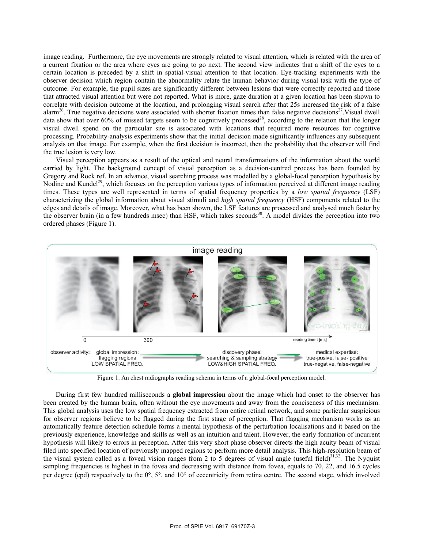image reading. Furthermore, the eye movements are strongly related to visual attention, which is related with the area of a current fixation or the area where eyes are going to go next. The second view indicates that a shift of the eyes to a certain location is preceded by a shift in spatial-visual attention to that location. Eye-tracking experiments with the observer decision which region contain the abnormality relate the human behavior during visual task with the type of outcome. For example, the pupil sizes are significantly different between lesions that were correctly reported and those that attracted visual attention but were not reported. What is more, gaze duration at a given location has been shown to correlate with decision outcome at the location, and prolonging visual search after that 25s increased the risk of a false alarm<sup>26</sup>. True negative decisions were associated with shorter fixation times than false negative decisions<sup>27</sup>. Visual dwell data show that over 60% of missed targets seem to be cognitively processed<sup>28</sup>, according to the relation that the longer visual dwell spend on the particular site is associated with locations that required more resources for cognitive processing. Probability-analysis experiments show that the initial decision made significantly influences any subsequent analysis on that image. For example, when the first decision is incorrect, then the probability that the observer will find the true lesion is very low.

Visual perception appears as a result of the optical and neural transformations of the information about the world carried by light. The background concept of visual perception as a decision-centred process has been founded by Gregory and Rock ref. In an advance, visual searching process was modelled by a global-focal perception hypothesis by Nodine and Kundel<sup>29</sup>, which focuses on the perception various types of information perceived at different image reading times. These types are well represented in terms of spatial frequency properties by a *low spatial frequency* (LSF) characterizing the global information about visual stimuli and *high spatial frequency* (HSF) components related to the edges and details of image. Moreover, what has been shown, the LSF features are processed and analysed much faster by the observer brain (in a few hundreds msec) than HSF, which takes seconds<sup>30</sup>. A model divides the perception into two ordered phases (Figure 1).



Figure 1. An chest radiographs reading schema in terms of a global-focal perception model.

During first few hundred milliseconds a **global impression** about the image which had onset to the observer has been created by the human brain, often without the eye movements and away from the conciseness of this mechanism. This global analysis uses the low spatial frequency extracted from entire retinal network, and some particular suspicious for observer regions believe to be flagged during the first stage of perception. That flagging mechanism works as an automatically feature detection schedule forms a mental hypothesis of the perturbation localisations and it based on the previously experience, knowledge and skills as well as an intuition and talent. However, the early formation of incurrent hypothesis will likely to errors in perception. After this very short phase observer directs the high acuity beam of visual filed into specified location of previously mapped regions to perform more detail analysis. This high-resolution beam of the visual system called as a foveal vision ranges from 2 to 5 degrees of visual angle (useful field) $31,32$ . The Nyquist sampling frequencies is highest in the fovea and decreasing with distance from fovea, equals to 70, 22, and 16.5 cycles per degree (cpd) respectively to the  $0^{\circ}$ ,  $5^{\circ}$ , and  $10^{\circ}$  of eccentricity from retina centre. The second stage, which involved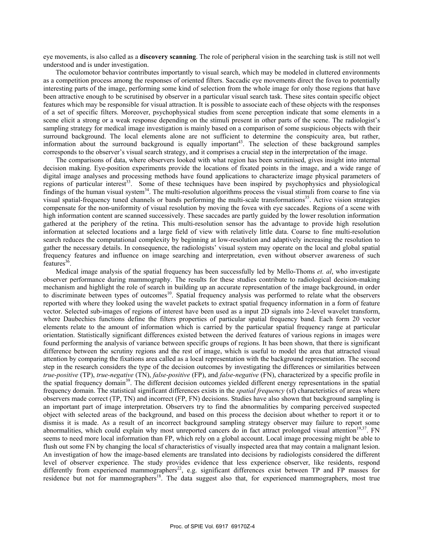eye movements, is also called as a **discovery scanning**. The role of peripheral vision in the searching task is still not well understood and is under investigation.

The oculomotor behavior contributes importantly to visual search, which may be modeled in cluttered environments as a competition process among the responses of oriented filters. Saccadic eye movements direct the fovea to potentially interesting parts of the image, performing some kind of selection from the whole image for only those regions that have been attractive enough to be scrutinised by observer in a particular visual search task. These sites contain specific object features which may be responsible for visual attraction. It is possible to associate each of these objects with the responses of a set of specific filters. Moreover, psychophysical studies from scene perception indicate that some elements in a scene elicit a strong or a weak response depending on the stimuli present in other parts of the scene. The radiologist's sampling strategy for medical image investigation is mainly based on a comparison of some suspicious objects with their surround background. The local elements alone are not sufficient to determine the conspicuity area, but rather, information about the surround background is equally important<sup>43</sup>. The selection of these background samples corresponds to the observer's visual search strategy, and it comprises a crucial step in the interpretation of the image.

The comparisons of data, where observers looked with what region has been scrutinised, gives insight into internal decision making. Eye-position experiments provide the locations of fixated points in the image, and a wide range of digital image analyses and processing methods have found applications to characterize image physical parameters of regions of particular interest<sup>33</sup>. Some of these techniques have been inspired by psychophysics and physiological findings of the human visual system<sup>34</sup>. The multi-resolution algorithms process the visual stimuli from coarse to fine via visual spatial-frequency tuned channels or bands performing the multi-scale transformations<sup>35</sup>. Active vision strategies compensate for the non-uniformity of visual resolution by moving the fovea with eye saccades. Regions of a scene with high information content are scanned successively. These saccades are partly guided by the lower resolution information gathered at the periphery of the retina. This multi-resolution sensor has the advantage to provide high resolution information at selected locations and a large field of view with relatively little data. Coarse to fine multi-resolution search reduces the computational complexity by beginning at low-resolution and adaptively increasing the resolution to gather the necessary details. In consequence, the radiologists' visual system may operate on the local and global spatial frequency features and influence on image searching and interpretation, even without observer awareness of such features<sup>36</sup>

Medical image analysis of the spatial frequency has been successfully led by Mello-Thoms *et. al*, who investigate observer performance during mammography. The results for these studies contribute to radiological decision-making mechanism and highlight the role of search in building up an accurate representation of the image background, in order to discriminate between types of outcomes<sup>10</sup>. Spatial frequency analysis was performed to relate what the observers reported with where they looked using the wavelet packets to extract spatial frequency information in a form of feature vector. Selected sub-images of regions of interest have been used as a input 2D signals into 2-level wavelet transform, where Daubechies functions define the filters properties of particular spatial frequency band. Each form 20 vector elements relate to the amount of information which is carried by the particular spatial frequency range at particular orientation. Statistically significant differences existed between the derived features of various regions in images were found performing the analysis of variance between specific groups of regions. It has been shown, that there is significant difference between the scrutiny regions and the rest of image, which is useful to model the area that attracted visual attention by comparing the fixations area called as a local representation with the background representation. The second step in the research considers the type of the decision outcomes by investigating the differences or similarities between *true-positive* (TP), *true-negative* (TN), *false-positive* (FP), and *false-negative* (FN), characterized by a specific profile in the spatial frequency domain<sup>39</sup>. The different decision outcomes yielded different energy representations in the spatial frequency domain. The statistical significant differences exists in the *spatial frequency* (sf) characteristics of areas where observers made correct (TP, TN) and incorrect (FP, FN) decisions. Studies have also shown that background sampling is an important part of image interpretation. Observers try to find the abnormalities by comparing perceived suspected object with selected areas of the background, and based on this process the decision about whether to report it or to dismiss it is made. As a result of an incorrect background sampling strategy observer may failure to report some abnormalities, which could explain why most unreported cancers do in fact attract prolonged visual attention<sup>19,37</sup>. FN seems to need more local information than FP, which rely on a global account. Local image processing might be able to flush out some FN by changing the local sf characteristics of visually inspected area that may contain a malignant lesion. An investigation of how the image-based elements are translated into decisions by radiologists considered the different level of observer experience. The study provides evidence that less experience observer, like residents, respond differently from experienced mammographers<sup>22</sup>, e.g. significant differences exist between TP and FP masses for residence but not for mammographers<sup>18</sup>. The data suggest also that, for experienced mammographers, most true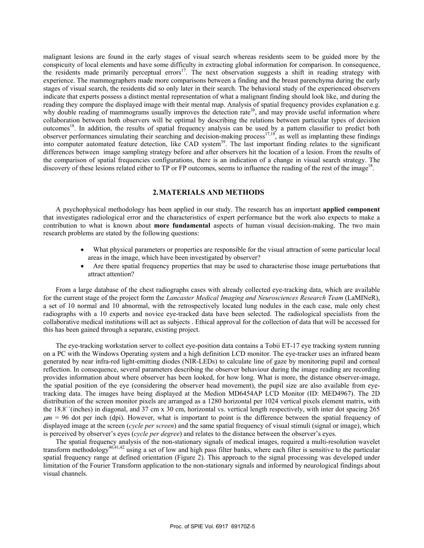malignant lesions are found in the early stages of visual search whereas residents seem to be guided more by the conspicuity of local elements and have some difficulty in extracting global information for comparison. In consequence, the residents made primarily perceptual errors<sup>17</sup>. The next observation suggests a shift in reading strategy with experience. The mammographers made more comparisons between a finding and the breast parenchyma during the early stages of visual search, the residents did so only later in their search. The behavioral study of the experienced observers indicate that experts possess a distinct mental representation of what a malignant finding should look like, and during the reading they compare the displayed image with their mental map. Analysis of spatial frequency provides explanation e.g. why double reading of mammograms usually improves the detection rate<sup>38</sup>, and may provide useful information where collaboration between both observers will be optimal by describing the relations between particular types of decision outcomes<sup>18</sup>. In addition, the results of spatial frequency analysis can be used by a pattern classifier to predict both observer performances simulating their searching and decision-making process<sup>17,18</sup>, as well as implanting these findings into computer automated feature detection, like CAD system<sup>39</sup>. The last important finding relates to the significant differences between image sampling strategy before and after observers hit the location of a lesion. From the results of the comparison of spatial frequencies configurations, there is an indication of a change in visual search strategy. The discovery of these lesions related either to TP or FP outcomes, seems to influence the reading of the rest of the image<sup>18</sup>.

## **2.MATERIALS AND METHODS**

A psychophysical methodology has been applied in our study. The research has an important **applied component** that investigates radiological error and the characteristics of expert performance but the work also expects to make a contribution to what is known about **more fundamental** aspects of human visual decision-making. The two main research problems are stated by the following questions:

- What physical parameters or properties are responsible for the visual attraction of some particular local areas in the image, which have been investigated by observer?
- Are there spatial frequency properties that may be used to characterise those image perturbations that attract attention?

From a large database of the chest radiographs cases with already collected eye-tracking data, which are available for the current stage of the project form the *Lancaster Medical Imaging and Neurosciences Research Team* (LaMINeR), a set of 10 normal and 10 abnormal, with the retrospectively located lung nodules in the each case, male only chest radiographs with a 10 experts and novice eye-tracked data have been selected. The radiological specialists from the collaborative medical institutions will act as subjects . Ethical approval for the collection of data that will be accessed for this has been gained through a separate, existing project.

The eye-tracking workstation server to collect eye-position data contains a Tobii ET-17 eye tracking system running on a PC with the Windows Operating system and a high definition LCD monitor. The eye-tracker uses an infrared beam generated by near infra-red light-emitting diodes (NIR-LEDs) to calculate line of gaze by monitoring pupil and corneal reflection. In consequence, several parameters describing the observer behaviour during the image reading are recording provides information about where observer has been looked, for how long. What is more, the distance observer-image, the spatial position of the eye (considering the observer head movement), the pupil size are also available from eyetracking data. The images have being displayed at the Medion MD6454AP LCD Monitor (ID: MED4967). The 2D distribution of the screen monitor pixels are arranged as a 1280 horizontal per 1024 vertical pixels element matrix, with the 18.8``(inches) in diagonal, and 37 cm x 30 cm, horizontal vs. vertical length respectively, with inter dot spacing 265 <sup>µ</sup>*m* = 96 dot per inch (dpi). However, what is important to point is the difference between the spatial frequency of displayed image at the screen (*cycle per screen*) and the same spatial frequency of visual stimuli (signal or image), which is perceived by observer's eyes (*cycle per degree*) and relates to the distance between the observer's eyes.

The spatial frequency analysis of the non-stationary signals of medical images, required a multi-resolution wavelet transform methodology<sup>40,41,42</sup> using a set of low and high pass filter banks, where each filter is sensitive to the particular spatial frequency range at defined orientation (Figure 2). This approach to the signal processing was developed under limitation of the Fourier Transform application to the non-stationary signals and informed by neurological findings about visual channels.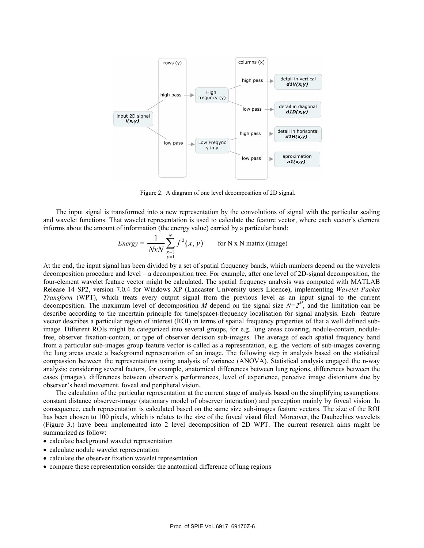

Figure 2. A diagram of one level decomposition of 2D signal.

The input signal is transformed into a new representation by the convolutions of signal with the particular scaling and wavelet functions. That wavelet representation is used to calculate the feature vector, where each vector's element informs about the amount of information (the energy value) carried by a particular band:

Energy = 
$$
\frac{1}{NxN} \sum_{\substack{x=1 \ y=1}}^{N} f^2(x, y)
$$
 for N x N matrix (image)

At the end, the input signal has been divided by a set of spatial frequency bands, which numbers depend on the wavelets decomposition procedure and level – a decomposition tree. For example, after one level of 2D-signal decomposition, the four-element wavelet feature vector might be calculated. The spatial frequency analysis was computed with MATLAB Release 14 SP2, version 7.0.4 for Windows XP (Lancaster University users Licence), implementing *Wavelet Packet Transform* (WPT), which treats every output signal from the previous level as an input signal to the current decomposition. The maximum level of decomposition *M* depend on the signal size  $N=2^M$ , and the limitation can be describe according to the uncertain principle for time(space)-frequency localisation for signal analysis. Each feature vector describes a particular region of interest (ROI) in terms of spatial frequency properties of that a well defined subimage. Different ROIs might be categorized into several groups, for e.g. lung areas covering, nodule-contain, nodulefree, observer fixation-contain, or type of observer decision sub-images. The average of each spatial frequency band from a particular sub-images group feature vector is called as a representation, e.g. the vectors of sub-images covering the lung areas create a background representation of an image. The following step in analysis based on the statistical compassion between the representations using analysis of variance (ANOVA). Statistical analysis engaged the n-way analysis; considering several factors, for example, anatomical differences between lung regions, differences between the cases (images), differences between observer's performances, level of experience, perceive image distortions due by observer's head movement, foveal and peripheral vision.

The calculation of the particular representation at the current stage of analysis based on the simplifying assumptions: constant distance observer-image (stationary model of observer interaction) and perception mainly by foveal vision. In consequence, each representation is calculated based on the same size sub-images feature vectors. The size of the ROI has been chosen to 100 pixels, which is relates to the size of the foveal visual filed. Moreover, the Daubechies wavelets (Figure 3.) have been implemented into 2 level decomposition of 2D WPT. The current research aims might be summarized as follow:

- calculate background wavelet representation
- calculate nodule wavelet representation
- calculate the observer fixation wavelet representation
- compare these representation consider the anatomical difference of lung regions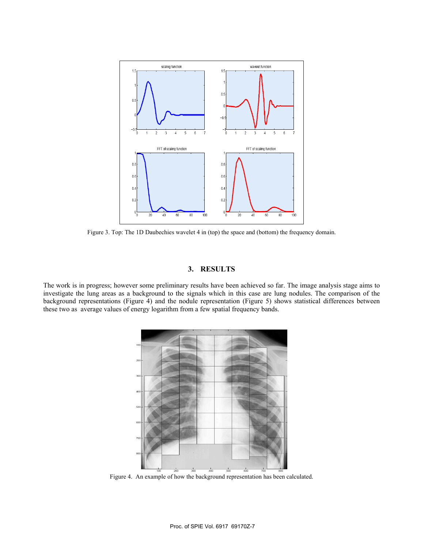

Figure 3. Top: The 1D Daubechies wavelet 4 in (top) the space and (bottom) the frequency domain.

#### **3. RESULTS**

The work is in progress; however some preliminary results have been achieved so far. The image analysis stage aims to investigate the lung areas as a background to the signals which in this case are lung nodules. The comparison of the background representations (Figure 4) and the nodule representation (Figure 5) shows statistical differences between these two as average values of energy logarithm from a few spatial frequency bands.



Figure 4. An example of how the background representation has been calculated.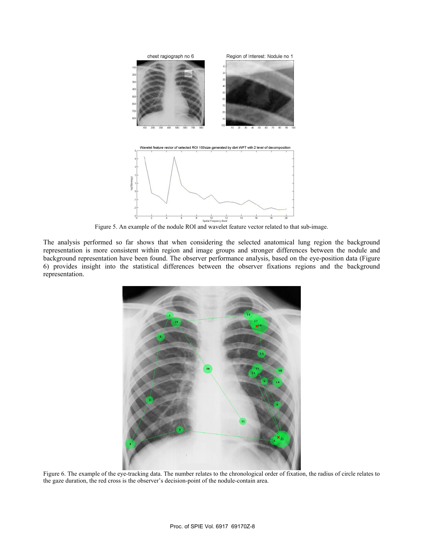

Figure 5. An example of the nodule ROI and wavelet feature vector related to that sub-image.

The analysis performed so far shows that when considering the selected anatomical lung region the background representation is more consistent within region and image groups and stronger differences between the nodule and background representation have been found. The observer performance analysis, based on the eye-position data (Figure 6) provides insight into the statistical differences between the observer fixations regions and the background representation.



Figure 6. The example of the eye-tracking data. The number relates to the chronological order of fixation, the radius of circle relates to the gaze duration, the red cross is the observer's decision-point of the nodule-contain area.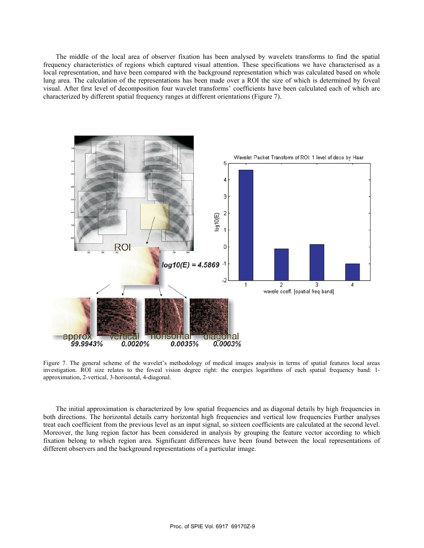The middle of the local area of observer fixation has been analysed by wavelets transforms to find the spatial frequency characteristics of regions which captured visual attention. These specifications we have characterised as a local representation, and have been compared with the background representation which was calculated based on whole lung area. The calculation of the representations has been made over a ROI the size of which is determined by foveal visual. After first level of decomposition four wavelet transforms' coefficients have been calculated each of which are characterized by different spatial frequency ranges at different orientations (Figure 7).



Figure 7. The general scheme of the wavelet's methodology of medical images analysis in terms of spatial features local areas investigation. ROI size relates to the foveal vision degree right: the energies logarithms of each spatial frequency band: 1 approximation, 2-vertical, 3-horisontal, 4-diagonal.

The initial approximation is characterized by low spatial frequencies and as diagonal details by high frequencies in both directions. The horizontal details carry horizontal high frequencies and vertical low frequencies Further analyses treat each coefficient from the previous level as an input signal, so sixteen coefficients are calculated at the second level. Moreover, the lung region factor has been considered in analysis by grouping the feature vector according to which fixation belong to which region area. Significant differences have been found between the local representations of different observers and the background representations of a particular image.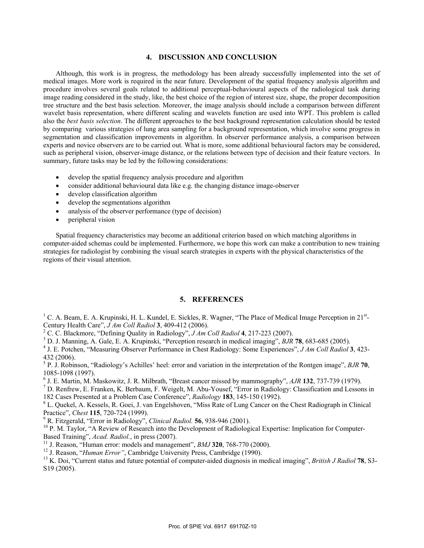# **4. DISCUSSION AND CONCLUSION**

Although, this work is in progress, the methodology has been already successfully implemented into the set of medical images. More work is required in the near future. Development of the spatial frequency analysis algorithm and procedure involves several goals related to additional perceptual-behavioural aspects of the radiological task during image reading considered in the study, like, the best choice of the region of interest size, shape, the proper decomposition tree structure and the best basis selection. Moreover, the image analysis should include a comparison between different wavelet basis representation, where different scaling and wavelets function are used into WPT. This problem is called also the *best basis selection*. The different approaches to the best background representation calculation should be tested by comparing various strategies of lung area sampling for a background representation, which involve some progress in segmentation and classification improvements in algorithm. In observer performance analysis, a comparison between experts and novice observers are to be carried out. What is more, some additional behavioural factors may be considered, such as peripheral vision, observer-image distance, or the relations between type of decision and their feature vectors. In summary, future tasks may be led by the following considerations:

- develop the spatial frequency analysis procedure and algorithm
- consider additional behavioural data like e.g. the changing distance image-observer
- develop classification algorithm
- develop the segmentations algorithm
- analysis of the observer performance (type of decision)
- peripheral vision

Spatial frequency characteristics may become an additional criterion based on which matching algorithms in computer-aided schemas could be implemented. Furthermore, we hope this work can make a contribution to new training strategies for radiologist by combining the visual search strategies in experts with the physical characteristics of the regions of their visual attention.

#### **5. REFERENCES**

<sup>1</sup> C. A. Beam, E. A. Krupinski, H. L. Kundel, E. Sickles, R. Wagner, "The Place of Medical Image Perception in 21<sup>st</sup>-Century Health Care", *J Am Coll Radiol* **<sup>3</sup>**, 409-412 (2006). 2

<sup>2</sup> C. C. Blackmore, "Defining Quality in Radiology", *J Am Coll Radiol* **4**, 217-223 (2007).

D. J. Manning, A. Gale, E. A. Krupinski, "Perception research in medical imaging", *BJR* **<sup>78</sup>**, 683-685 (2005). 4

 J. E. Potchen, "Measuring Observer Performance in Chest Radiology: Some Experiences", *J Am Coll Radiol* **3**, 423- 432 (2006).

5 P. J. Robinson, "Radiology's Achilles' heel: error and variation in the interpretation of the Rontgen image", *BJR* **70**, 1085-1098 (1997).

6 J. E. Martin, M. Maskowitz, J. R. Milbrath, "Breast cancer missed by mammography", *AJR* **<sup>132</sup>**, 737-739 (1979). 7

<sup>7</sup> D. Renfrew, E. Franken, K. Berbaum, F. Weigelt, M. Abu-Yousef, "Error in Radiology: Classification and Lessons in 182 Cases Presented at a Problem Case Conference", *Radiology* **<sup>183</sup>**, 145-150 (1992). 8

 ${}^8$  L. Quekel, A. Kessels, R. Goei, J. van Engelshoven, "Miss Rate of Lung Cancer on the Chest Radiograph in Clinical Practice". Chest 115, 720-724 (1999).

<sup>9</sup> R. Fitzgerald, "Error in Radiology", *Clinical Radiol*. **56**, 938-946 (2001).

<sup>10</sup> P. M. Taylor, "A Review of Research into the Development of Radiological Expertise: Implication for Computer-<br>Based Training", *Acad. Radiol.*, in press (2007).

- 
- 

<sup>11</sup> J. Reason, "Human error: models and management", *BMJ* 320, 768-770 (2000).<br><sup>12</sup> J. Reason, "*Human Error*", Cambridge University Press, Cambridge (1990).<br><sup>13</sup> K. Doi, "Current status and future potential of computer S<sub>19</sub> (2005).